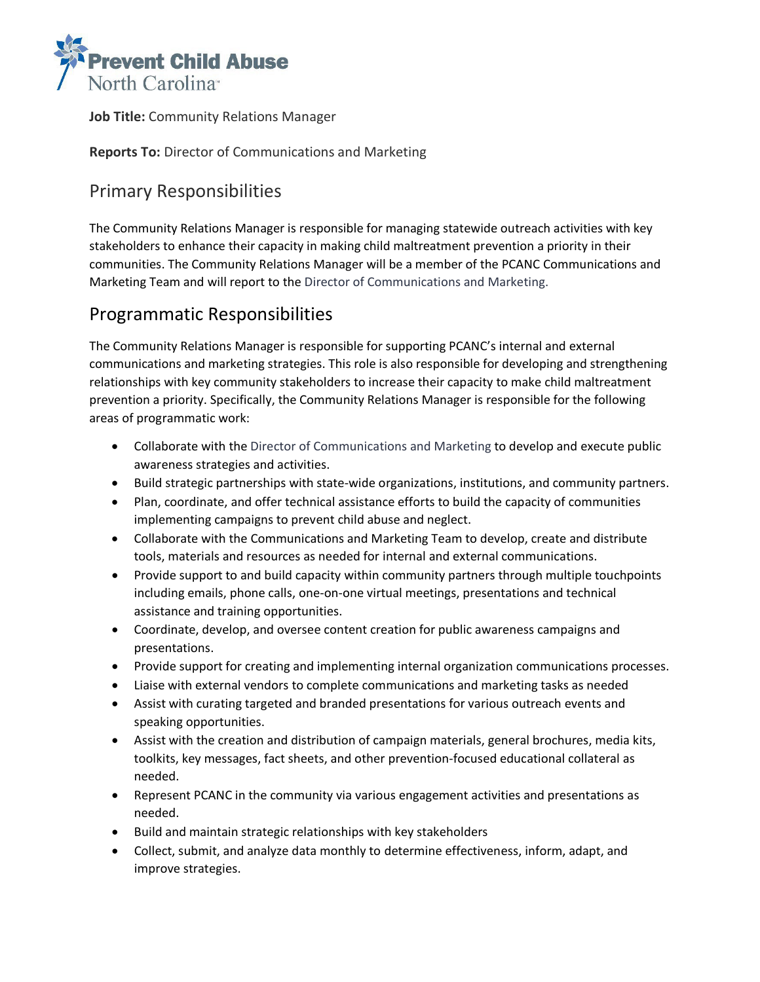

**Job Title:** Community Relations Manager

**Reports To:** Director of Communications and Marketing

## Primary Responsibilities

The Community Relations Manager is responsible for managing statewide outreach activities with key stakeholders to enhance their capacity in making child maltreatment prevention a priority in their communities. The Community Relations Manager will be a member of the PCANC Communications and Marketing Team and will report to the Director of Communications and Marketing.

## Programmatic Responsibilities

The Community Relations Manager is responsible for supporting PCANC's internal and external communications and marketing strategies. This role is also responsible for developing and strengthening relationships with key community stakeholders to increase their capacity to make child maltreatment prevention a priority. Specifically, the Community Relations Manager is responsible for the following areas of programmatic work:

- Collaborate with the Director of Communications and Marketing to develop and execute public awareness strategies and activities.
- Build strategic partnerships with state-wide organizations, institutions, and community partners.
- Plan, coordinate, and offer technical assistance efforts to build the capacity of communities implementing campaigns to prevent child abuse and neglect.
- Collaborate with the Communications and Marketing Team to develop, create and distribute tools, materials and resources as needed for internal and external communications.
- Provide support to and build capacity within community partners through multiple touchpoints including emails, phone calls, one-on-one virtual meetings, presentations and technical assistance and training opportunities.
- Coordinate, develop, and oversee content creation for public awareness campaigns and presentations.
- Provide support for creating and implementing internal organization communications processes.
- Liaise with external vendors to complete communications and marketing tasks as needed
- Assist with curating targeted and branded presentations for various outreach events and speaking opportunities.
- Assist with the creation and distribution of campaign materials, general brochures, media kits, toolkits, key messages, fact sheets, and other prevention-focused educational collateral as needed.
- Represent PCANC in the community via various engagement activities and presentations as needed.
- Build and maintain strategic relationships with key stakeholders
- Collect, submit, and analyze data monthly to determine effectiveness, inform, adapt, and improve strategies.